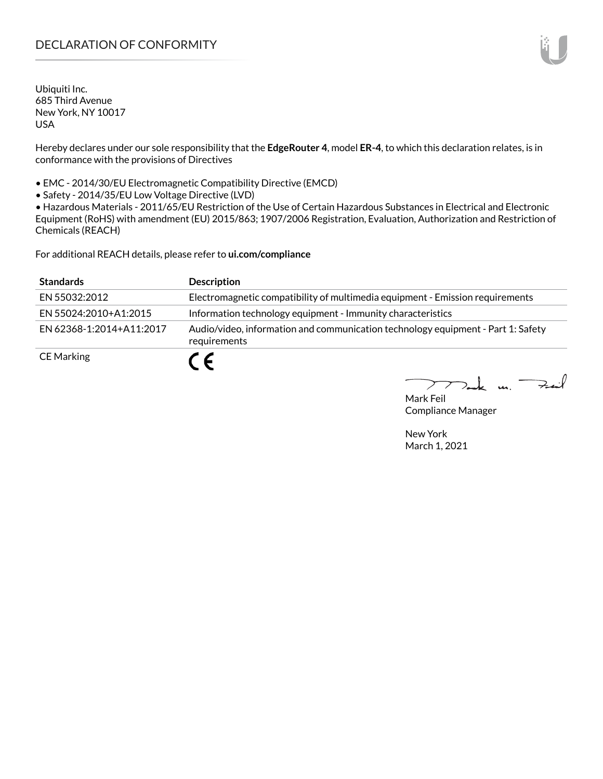# DECLARATION OF CONFORMITY

Ubiquiti Inc. 685 Third Avenue New York, NY 10017 USA

Hereby declares under our sole responsibility that the **EdgeRouter 4**, model **ER-4**, to which this declaration relates, is in conformance with the provisions of Directives

• EMC - 2014/30/EU Electromagnetic Compatibility Directive (EMCD)

• Safety - 2014/35/EU Low Voltage Directive (LVD)

• Hazardous Materials - 2011/65/EU Restriction of the Use of Certain Hazardous Substances in Electrical and Electronic Equipment (RoHS) with amendment (EU) 2015/863; 1907/2006 Registration, Evaluation, Authorization and Restriction of Chemicals (REACH)

For additional REACH details, please refer to **ui.com/compliance**

| <b>Standards</b>         | <b>Description</b>                                                                               |
|--------------------------|--------------------------------------------------------------------------------------------------|
| EN 55032:2012            | Electromagnetic compatibility of multimedia equipment - Emission requirements                    |
| EN 55024:2010+A1:2015    | Information technology equipment - Immunity characteristics                                      |
| EN 62368-1:2014+A11:2017 | Audio/video, information and communication technology equipment - Part 1: Safety<br>requirements |
| <b>CE Marking</b>        | C F                                                                                              |

 $k$  un  $\rightarrow$ 

Mark Feil Compliance Manager

New York March 1, 2021